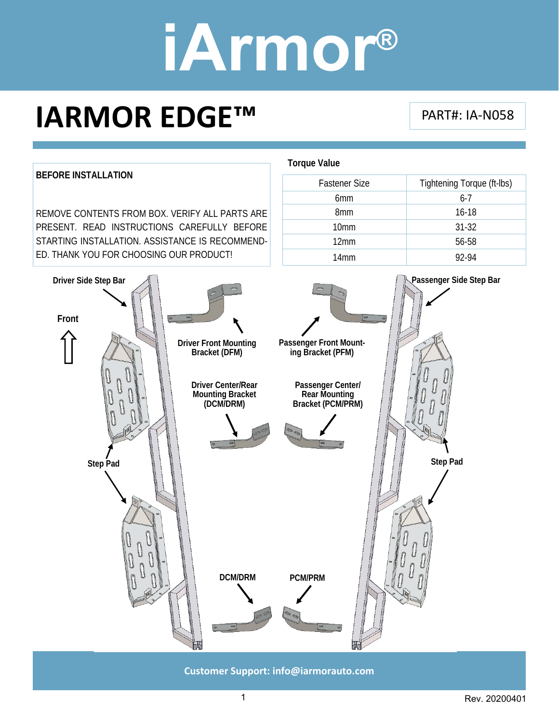### **IARMOR EDGE™**

#### PART#: IA‐N058



**Customer Support: info@iarmorauto.com** 

1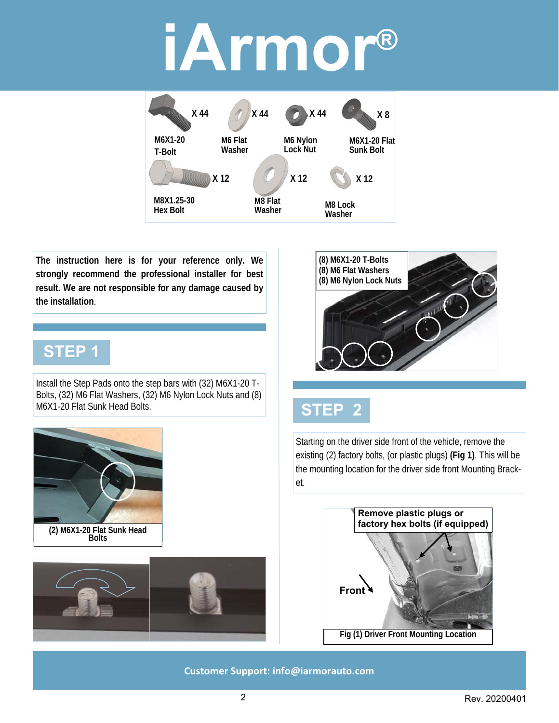

**The instruction here is for your reference only. We strongly recommend the professional installer for best result. We are not responsible for any damage caused by the installation**.

#### **STEP 1**

**(2) M6X1-20 Flat Sunk Head Bolts** 

Install the Step Pads onto the step bars with (32) M6X1-20 T-Bolts, (32) M6 Flat Washers, (32) M6 Nylon Lock Nuts and (8) M6X1-20 Flat Sunk Head Bolts.



#### **STEP 2**

Starting on the driver side front of the vehicle, remove the existing (2) factory bolts, (or plastic plugs) **(Fig 1)**. This will be the mounting location for the driver side front Mounting Bracket.



**Customer Support: info@iarmorauto.com**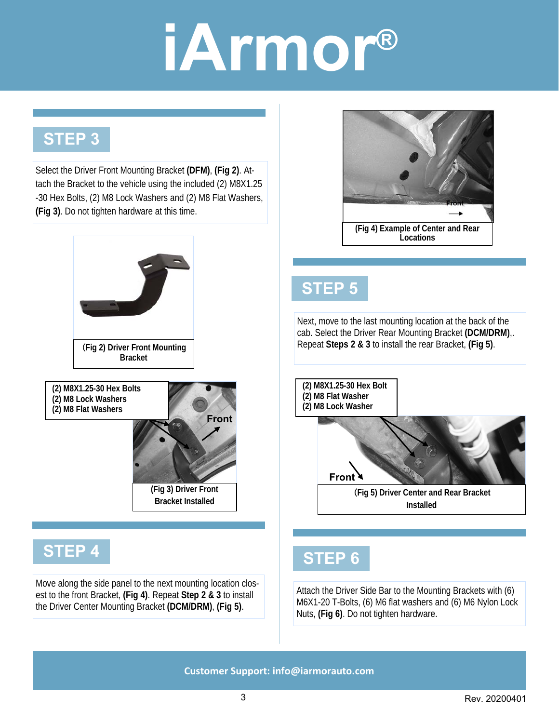#### **STEP 3**

Select the Driver Front Mounting Bracket **(DFM)**, **(Fig 2)**. Attach the Bracket to the vehicle using the included (2) M8X1.25 -30 Hex Bolts, (2) M8 Lock Washers and (2) M8 Flat Washers, **(Fig 3)**. Do not tighten hardware at this time.







**Front** 

#### **STEP 4**

Move along the side panel to the next mounting location closest to the front Bracket, **(Fig 4)**. Repeat **Step 2 & 3** to install the Driver Center Mounting Bracket **(DCM/DRM)**, **(Fig 5)**.



### **STEP 5**

Next, move to the last mounting location at the back of the cab. Select the Driver Rear Mounting Bracket **(DCM/DRM)**,. Repeat **Steps 2 & 3** to install the rear Bracket, **(Fig 5)**. (**Fig 2) Driver Front Mounting** 



#### **STEP 6**

Attach the Driver Side Bar to the Mounting Brackets with (6) M6X1-20 T-Bolts, (6) M6 flat washers and (6) M6 Nylon Lock Nuts, **(Fig 6)**. Do not tighten hardware.

**Customer Support: info@iarmorauto.com**